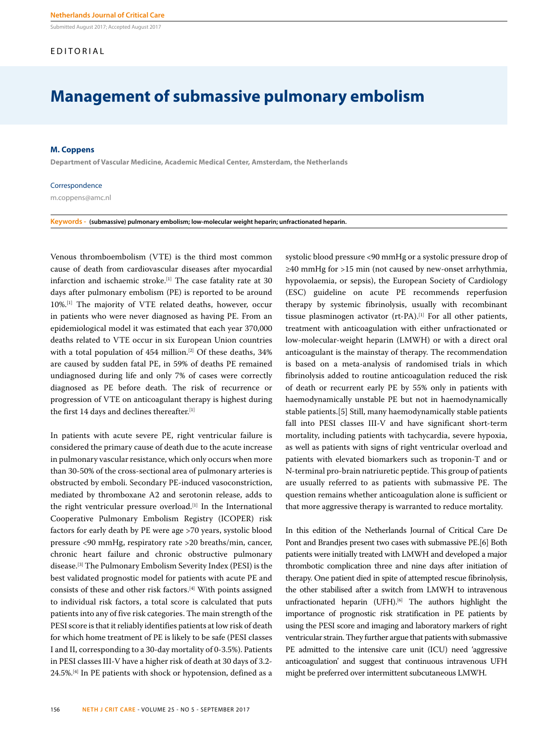Submitted August 2017; Accepted August 2017

#### EDITORIAL

### **Management of submassive pulmonary embolism**

#### **M. Coppens**

**Department of Vascular Medicine, Academic Medical Center, Amsterdam, the Netherlands**

#### Correspondence

m.coppens@amc.nl

#### **Keywords - (submassive) pulmonary embolism; low-molecular weight heparin; unfractionated heparin.**

Venous thromboembolism (VTE) is the third most common cause of death from cardiovascular diseases after myocardial infarction and ischaemic stroke.<sup>[1]</sup> The case fatality rate at 30 days after pulmonary embolism (PE) is reported to be around 10%.[1] The majority of VTE related deaths, however, occur in patients who were never diagnosed as having PE. From an epidemiological model it was estimated that each year 370,000 deaths related to VTE occur in six European Union countries with a total population of 454 million.<sup>[2]</sup> Of these deaths, 34% are caused by sudden fatal PE, in 59% of deaths PE remained undiagnosed during life and only 7% of cases were correctly diagnosed as PE before death. The risk of recurrence or progression of VTE on anticoagulant therapy is highest during the first 14 days and declines thereafter.[1]

In patients with acute severe PE, right ventricular failure is considered the primary cause of death due to the acute increase in pulmonary vascular resistance, which only occurs when more than 30-50% of the cross-sectional area of pulmonary arteries is obstructed by emboli. Secondary PE-induced vasoconstriction, mediated by thromboxane A2 and serotonin release, adds to the right ventricular pressure overload.[1] In the International Cooperative Pulmonary Embolism Registry (ICOPER) risk factors for early death by PE were age >70 years, systolic blood pressure <90 mmHg, respiratory rate >20 breaths/min, cancer, chronic heart failure and chronic obstructive pulmonary disease.[3] The Pulmonary Embolism Severity Index (PESI) is the best validated prognostic model for patients with acute PE and consists of these and other risk factors.[4] With points assigned to individual risk factors, a total score is calculated that puts patients into any of five risk categories. The main strength of the PESI score is that it reliably identifies patients at low risk of death for which home treatment of PE is likely to be safe (PESI classes I and II, corresponding to a 30-day mortality of 0-3.5%). Patients in PESI classes III-V have a higher risk of death at 30 days of 3.2- 24.5%.[4] In PE patients with shock or hypotension, defined as a

systolic blood pressure <90 mmHg or a systolic pressure drop of ≥40 mmHg for >15 min (not caused by new-onset arrhythmia, hypovolaemia, or sepsis), the European Society of Cardiology (ESC) guideline on acute PE recommends reperfusion therapy by systemic fibrinolysis, usually with recombinant tissue plasminogen activator (rt-PA).<sup>[1]</sup> For all other patients, treatment with anticoagulation with either unfractionated or low-molecular-weight heparin (LMWH) or with a direct oral anticoagulant is the mainstay of therapy. The recommendation is based on a meta-analysis of randomised trials in which fibrinolysis added to routine anticoagulation reduced the risk of death or recurrent early PE by 55% only in patients with haemodynamically unstable PE but not in haemodynamically stable patients.[5] Still, many haemodynamically stable patients fall into PESI classes III-V and have significant short-term mortality, including patients with tachycardia, severe hypoxia, as well as patients with signs of right ventricular overload and patients with elevated biomarkers such as troponin-T and or N-terminal pro-brain natriuretic peptide. This group of patients are usually referred to as patients with submassive PE. The question remains whether anticoagulation alone is sufficient or that more aggressive therapy is warranted to reduce mortality.

In this edition of the Netherlands Journal of Critical Care De Pont and Brandjes present two cases with submassive PE.[6] Both patients were initially treated with LMWH and developed a major thrombotic complication three and nine days after initiation of therapy. One patient died in spite of attempted rescue fibrinolysis, the other stabilised after a switch from LMWH to intravenous unfractionated heparin (UFH).<sup>[6]</sup> The authors highlight the importance of prognostic risk stratification in PE patients by using the PESI score and imaging and laboratory markers of right ventricular strain. They further argue that patients with submassive PE admitted to the intensive care unit (ICU) need 'aggressive anticoagulation' and suggest that continuous intravenous UFH might be preferred over intermittent subcutaneous LMWH.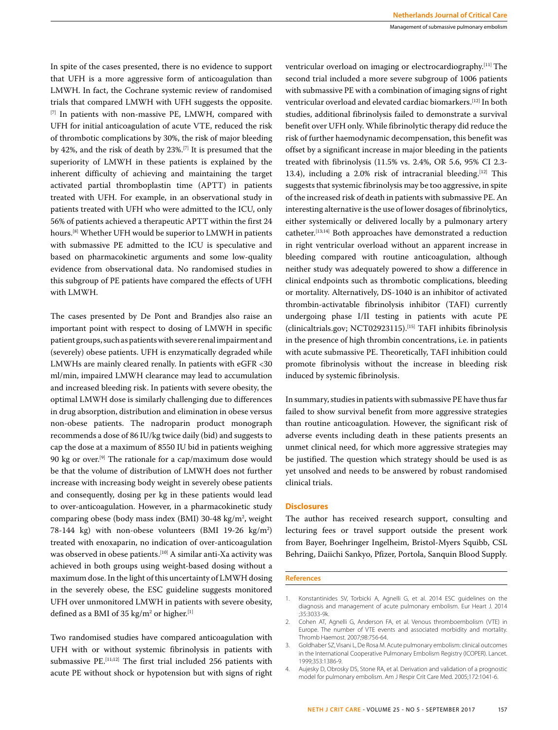In spite of the cases presented, there is no evidence to support that UFH is a more aggressive form of anticoagulation than LMWH. In fact, the Cochrane systemic review of randomised trials that compared LMWH with UFH suggests the opposite. [7] In patients with non-massive PE, LMWH, compared with UFH for initial anticoagulation of acute VTE, reduced the risk of thrombotic complications by 30%, the risk of major bleeding by 42%, and the risk of death by 23%.[7] It is presumed that the superiority of LMWH in these patients is explained by the inherent difficulty of achieving and maintaining the target activated partial thromboplastin time (APTT) in patients treated with UFH. For example, in an observational study in patients treated with UFH who were admitted to the ICU, only 56% of patients achieved a therapeutic APTT within the first 24 hours.[8] Whether UFH would be superior to LMWH in patients with submassive PE admitted to the ICU is speculative and based on pharmacokinetic arguments and some low-quality evidence from observational data. No randomised studies in this subgroup of PE patients have compared the effects of UFH with LMWH.

The cases presented by De Pont and Brandjes also raise an important point with respect to dosing of LMWH in specific patient groups, such as patients with severe renal impairment and (severely) obese patients. UFH is enzymatically degraded while LMWHs are mainly cleared renally. In patients with eGFR <30 ml/min, impaired LMWH clearance may lead to accumulation and increased bleeding risk. In patients with severe obesity, the optimal LMWH dose is similarly challenging due to differences in drug absorption, distribution and elimination in obese versus non-obese patients. The nadroparin product monograph recommends a dose of 86 IU/kg twice daily (bid) and suggests to cap the dose at a maximum of 8550 IU bid in patients weighing 90 kg or over.[9] The rationale for a cap/maximum dose would be that the volume of distribution of LMWH does not further increase with increasing body weight in severely obese patients and consequently, dosing per kg in these patients would lead to over-anticoagulation. However, in a pharmacokinetic study comparing obese (body mass index (BMI) 30-48 kg/m<sup>2</sup>, weight 78-144 kg) with non-obese volunteers (BMI 19-26 kg/m2 ) treated with enoxaparin, no indication of over-anticoagulation was observed in obese patients.<sup>[10]</sup> A similar anti-Xa activity was achieved in both groups using weight-based dosing without a maximum dose. In the light of this uncertainty of LMWH dosing in the severely obese, the ESC guideline suggests monitored UFH over unmonitored LMWH in patients with severe obesity, defined as a BMI of 35 kg/m<sup>2</sup> or higher. $^{[1]}$ 

Two randomised studies have compared anticoagulation with UFH with or without systemic fibrinolysis in patients with submassive PE.[11;12] The first trial included 256 patients with acute PE without shock or hypotension but with signs of right

ventricular overload on imaging or electrocardiography.[11] The second trial included a more severe subgroup of 1006 patients with submassive PE with a combination of imaging signs of right ventricular overload and elevated cardiac biomarkers.[12] In both studies, additional fibrinolysis failed to demonstrate a survival benefit over UFH only. While fibrinolytic therapy did reduce the risk of further haemodynamic decompensation, this benefit was offset by a significant increase in major bleeding in the patients treated with fibrinolysis (11.5% vs. 2.4%, OR 5.6, 95% CI 2.3- 13.4), including a 2.0% risk of intracranial bleeding.<sup>[12]</sup> This suggests that systemic fibrinolysis may be too aggressive, in spite of the increased risk of death in patients with submassive PE. An interesting alternative is the use of lower dosages of fibrinolytics, either systemically or delivered locally by a pulmonary artery catheter.[13;14] Both approaches have demonstrated a reduction in right ventricular overload without an apparent increase in bleeding compared with routine anticoagulation, although neither study was adequately powered to show a difference in clinical endpoints such as thrombotic complications, bleeding or mortality. Alternatively, DS-1040 is an inhibitor of activated thrombin-activatable fibrinolysis inhibitor (TAFI) currently undergoing phase I/II testing in patients with acute PE (clinicaltrials.gov; NCT02923115).[15] TAFI inhibits fibrinolysis in the presence of high thrombin concentrations, i.e. in patients with acute submassive PE. Theoretically, TAFI inhibition could promote fibrinolysis without the increase in bleeding risk induced by systemic fibrinolysis.

In summary, studies in patients with submassive PE have thus far failed to show survival benefit from more aggressive strategies than routine anticoagulation. However, the significant risk of adverse events including death in these patients presents an unmet clinical need, for which more aggressive strategies may be justified. The question which strategy should be used is as yet unsolved and needs to be answered by robust randomised clinical trials.

#### **Disclosures**

The author has received research support, consulting and lecturing fees or travel support outside the present work from Bayer, Boehringer Ingelheim, Bristol-Myers Squibb, CSL Behring, Daiichi Sankyo, Pfizer, Portola, Sanquin Blood Supply.

#### **References**

<sup>1.</sup> Konstantinides SV, Torbicki A, Agnelli G, et al. 2014 ESC guidelines on the diagnosis and management of acute pulmonary embolism. Eur Heart J. 2014 ;35:3033-9k.

<sup>2.</sup> Cohen AT, Agnelli G, Anderson FA, et al. Venous thromboembolism (VTE) in Europe. The number of VTE events and associated morbidity and mortality. Thromb Haemost. 2007;98:756-64.

<sup>3.</sup> Goldhaber SZ, Visani L, De Rosa M. Acute pulmonary embolism: clinical outcomes in the International Cooperative Pulmonary Embolism Registry (ICOPER). Lancet. 1999;353:1386-9.

<sup>4.</sup> Aujesky D, Obrosky DS, Stone RA, et al. Derivation and validation of a prognostic model for pulmonary embolism. Am J Respir Crit Care Med. 2005;172:1041-6.